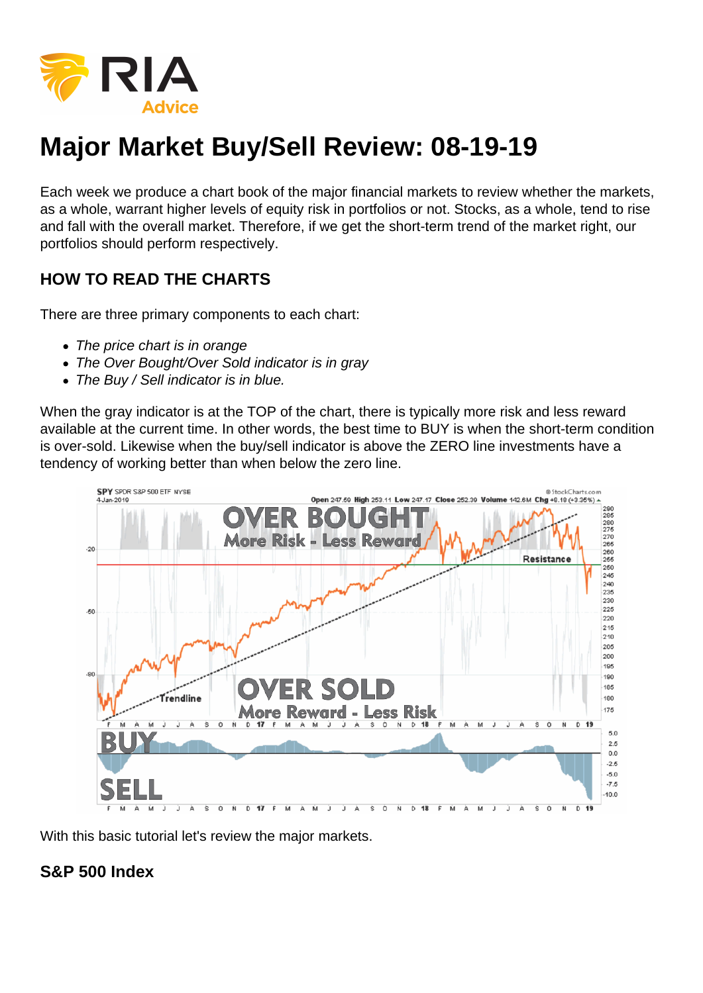

# **Major Market Buy/Sell Review: 08-19-19**

Each week we produce a chart book of the major financial markets to review whether the markets, as a whole, warrant higher levels of equity risk in portfolios or not. Stocks, as a whole, tend to rise and fall with the overall market. Therefore, if we get the short-term trend of the market right, our portfolios should perform respectively.

## **HOW TO READ THE CHARTS**

There are three primary components to each chart:

- The price chart is in orange
- The Over Bought/Over Sold indicator is in gray
- The Buy / Sell indicator is in blue.

When the gray indicator is at the TOP of the chart, there is typically more risk and less reward available at the current time. In other words, the best time to BUY is when the short-term condition is over-sold. Likewise when the buy/sell indicator is above the ZERO line investments have a tendency of working better than when below the zero line.



With this basic tutorial let's review the major markets.

### **S&P 500 Index**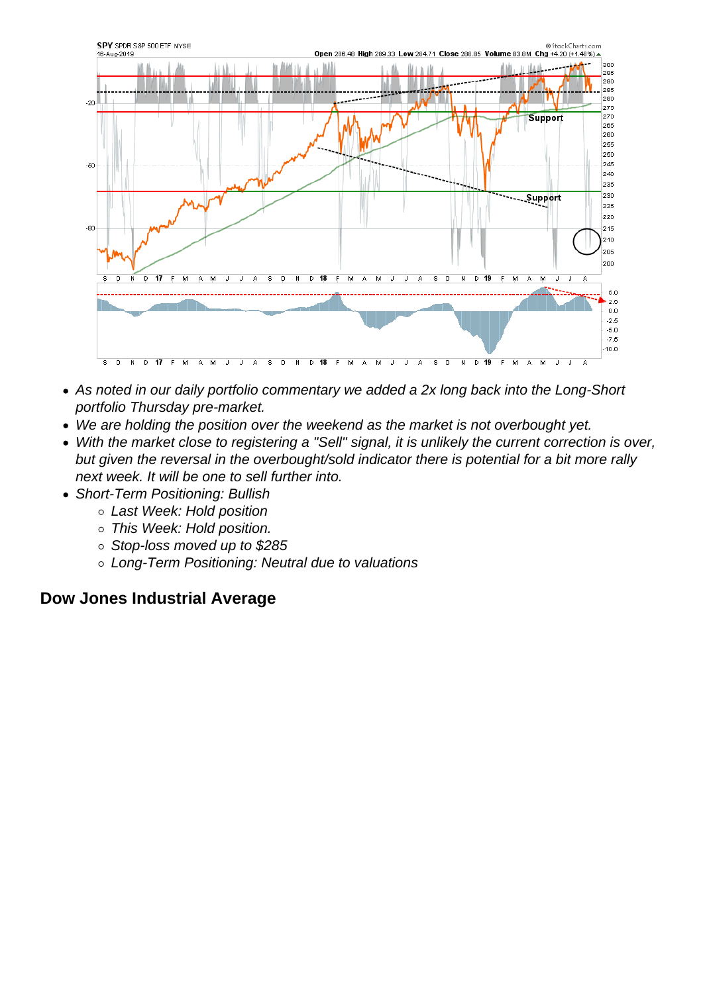- As noted in our daily portfolio commentary we added a 2x long back into the Long-Short portfolio Thursday pre-market.
- We are holding the position over the weekend as the market is not overbought yet.
- With the market close to registering a "Sell" signal, it is unlikely the current correction is over, but given the reversal in the overbought/sold indicator there is potential for a bit more rally next week. It will be one to sell further into.
- Short-Term Positioning: Bullish
	- Last Week: Hold position
	- This Week: Hold position.
	- o Stop-loss moved up to \$285
	- Long-Term Positioning: Neutral due to valuations

#### Dow Jones Industrial Average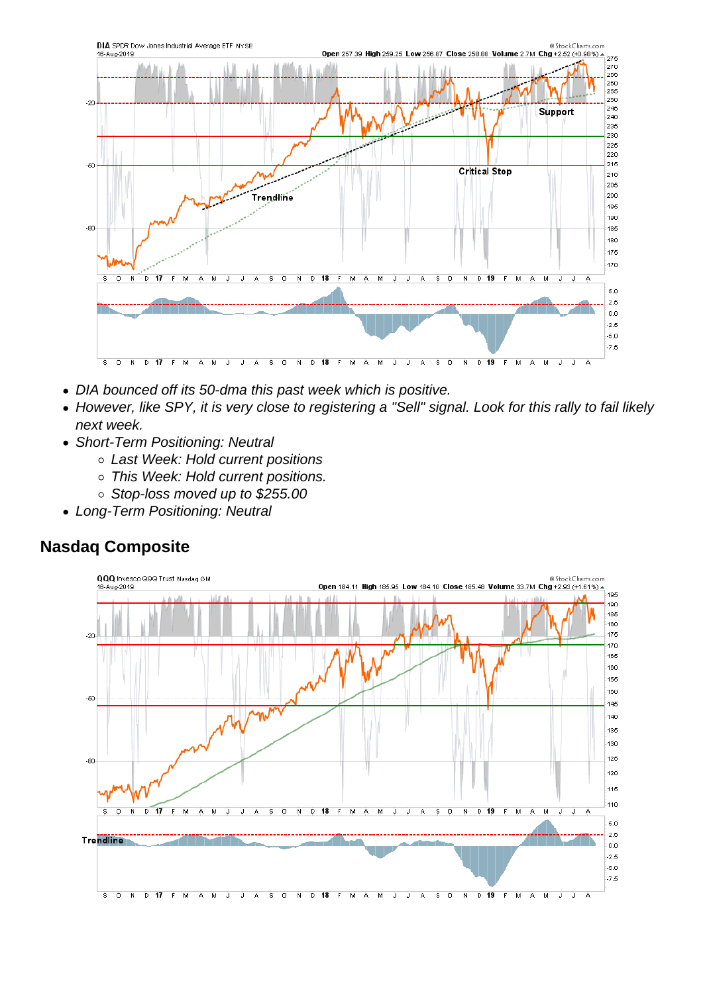- DIA bounced off its 50-dma this past week which is positive.
- However, like SPY, it is very close to registering a "Sell" signal. Look for this rally to fail likely next week.
- Short-Term Positioning: Neutral
	- Last Week: Hold current positions
	- o This Week: Hold current positions.
	- Stop-loss moved up to \$255.00
- Long-Term Positioning: Neutral

Nasdaq Composite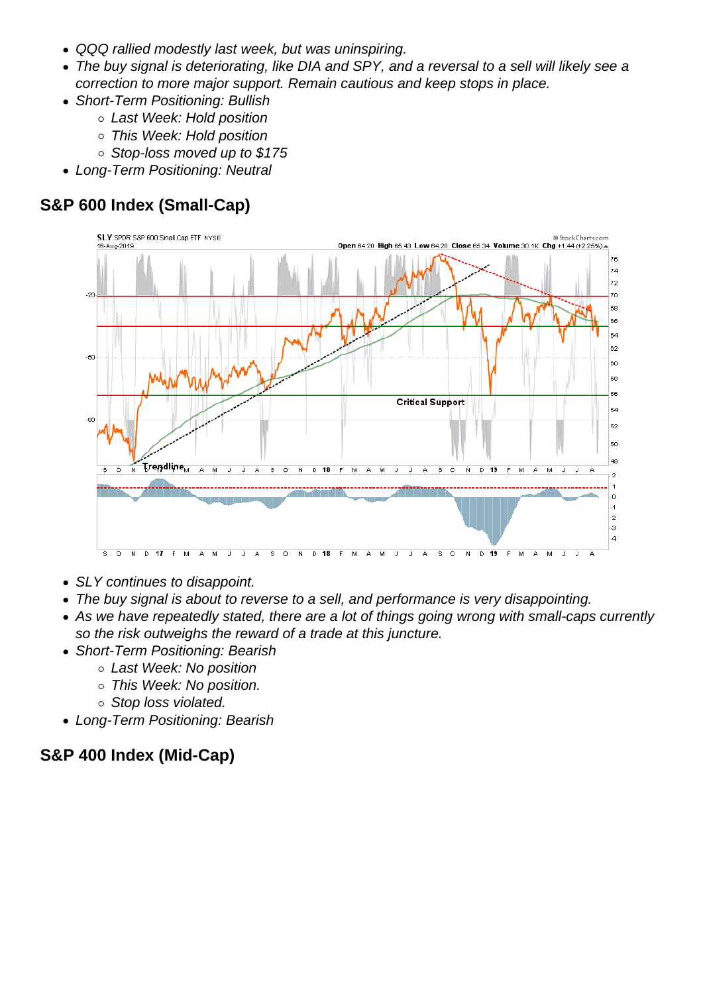- QQQ rallied modestly last week, but was uninspiring.
- The buy signal is deteriorating, like DIA and SPY, and a reversal to a sell will likely see a correction to more major support. Remain cautious and keep stops in place.
- Short-Term Positioning: Bullish
	- Last Week: Hold position
	- This Week: Hold position
	- Stop-loss moved up to \$175
- Long-Term Positioning: Neutral

S&P 600 Index (Small-Cap)

- SLY continues to disappoint.
- The buy signal is about to reverse to a sell, and performance is very disappointing.
- As we have repeatedly stated, there are a lot of things going wrong with small-caps currently so the risk outweighs the reward of a trade at this juncture.
- Short-Term Positioning: Bearish
	- Last Week: No position
	- o This Week: No position.
	- o Stop loss violated.
- Long-Term Positioning: Bearish

S&P 400 Index (Mid-Cap)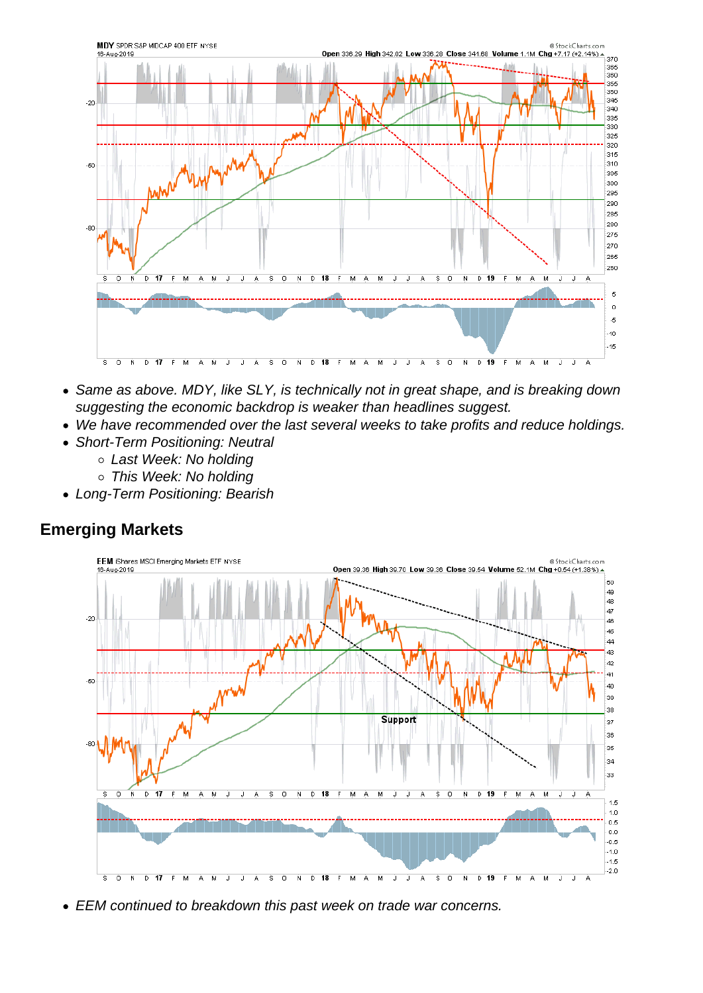- Same as above. MDY, like SLY, is technically not in great shape, and is breaking down suggesting the economic backdrop is weaker than headlines suggest.
- We have recommended over the last several weeks to take profits and reduce holdings.
- Short-Term Positioning: Neutral
	- Last Week: No holding
	- o This Week: No holding
- Long-Term Positioning: Bearish

#### Emerging Markets

EEM continued to breakdown this past week on trade war concerns.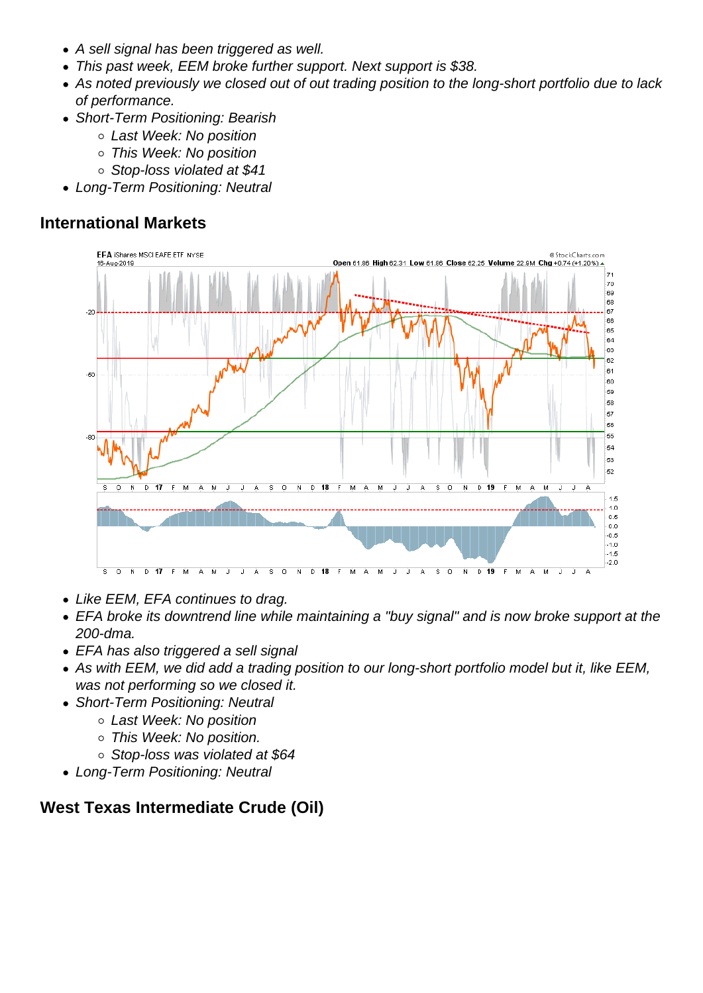- A sell signal has been triggered as well.
- This past week, EEM broke further support. Next support is \$38.
- As noted previously we closed out of out trading position to the long-short portfolio due to lack of performance.
- Short-Term Positioning: Bearish
	- Last Week: No position
	- This Week: No position
	- Stop-loss violated at \$41
- Long-Term Positioning: Neutral

International Markets

- Like EEM, EFA continues to drag.
- EFA broke its downtrend line while maintaining a "buy signal" and is now broke support at the 200-dma.
- EFA has also triggered a sell signal
- As with EEM, we did add a trading position to our long-short portfolio model but it, like EEM, was not performing so we closed it.
- Short-Term Positioning: Neutral
	- Last Week: No position
	- This Week: No position.
	- Stop-loss was violated at \$64
- Long-Term Positioning: Neutral

West Texas Intermediate Crude (Oil)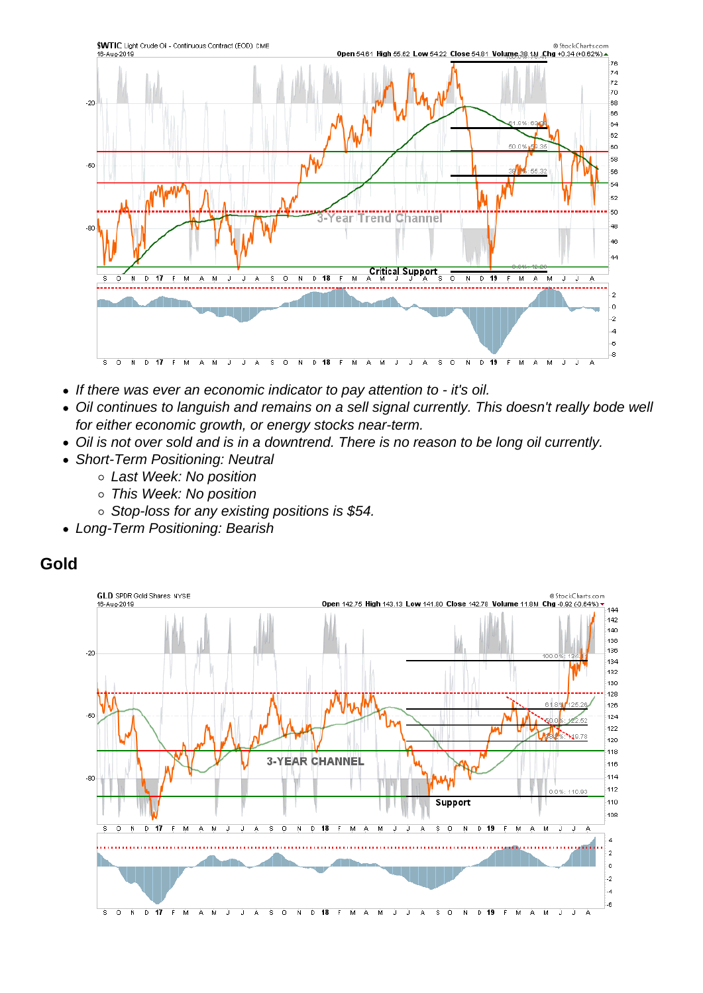- If there was ever an economic indicator to pay attention to it's oil.
- Oil continues to languish and remains on a sell signal currently. This doesn't really bode well for either economic growth, or energy stocks near-term.
- Oil is not over sold and is in a downtrend. There is no reason to be long oil currently.
- Short-Term Positioning: Neutral
	- o Last Week: No position
	- This Week: No position
	- $\circ$  Stop-loss for any existing positions is \$54.
- Long-Term Positioning: Bearish

Gold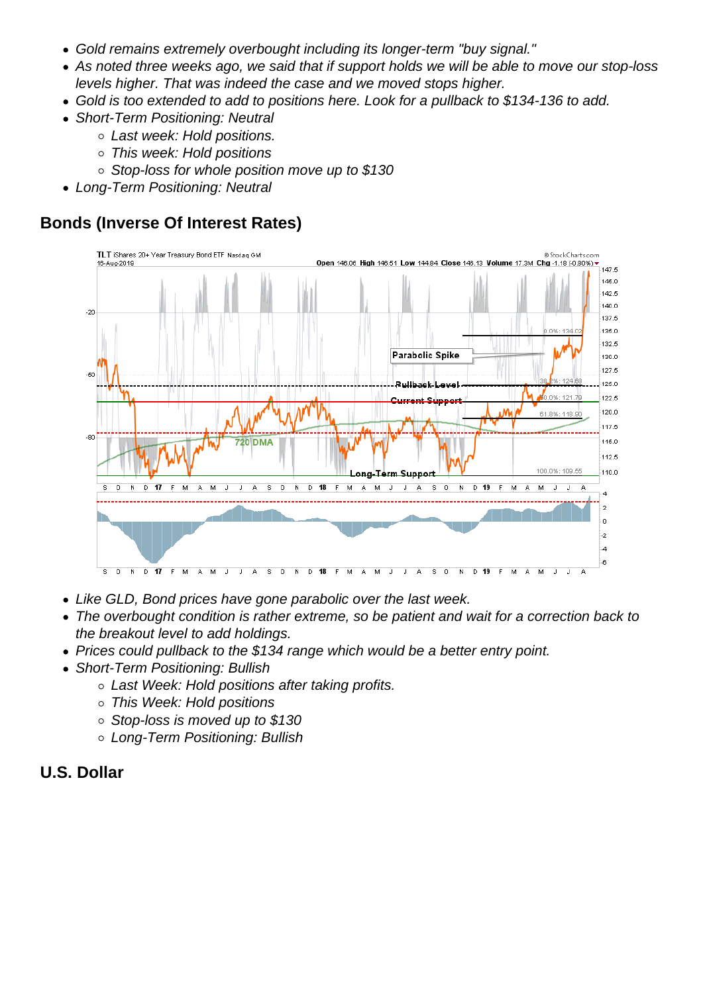- Gold remains extremely overbought including its longer-term "buy signal."
- As noted three weeks ago, we said that if support holds we will be able to move our stop-loss levels higher. That was indeed the case and we moved stops higher.
- Gold is too extended to add to positions here. Look for a pullback to \$134-136 to add.
- Short-Term Positioning: Neutral
	- Last week: Hold positions.
	- This week: Hold positions
	- $\circ$  Stop-loss for whole position move up to \$130
- Long-Term Positioning: Neutral

Bonds (Inverse Of Interest Rates)

- Like GLD, Bond prices have gone parabolic over the last week.
- The overbought condition is rather extreme, so be patient and wait for a correction back to the breakout level to add holdings.
- Prices could pullback to the \$134 range which would be a better entry point.
- Short-Term Positioning: Bullish
	- Last Week: Hold positions after taking profits.
	- This Week: Hold positions
	- Stop-loss is moved up to \$130
	- Long-Term Positioning: Bullish
- U.S. Dollar